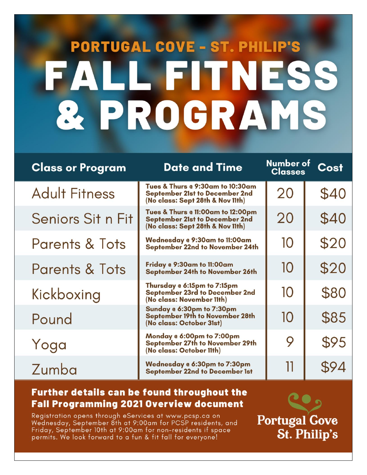# **PORTUGAL COVE - ST. PHILIP'S LL FITNESS** IFA & PROGRAMS

| <b>Class or Program</b>   | <b>Date and Time</b>                                                                                           | Number of<br><b>Classes</b> | Cost |
|---------------------------|----------------------------------------------------------------------------------------------------------------|-----------------------------|------|
| <b>Adult Fitness</b>      | Tues & Thurs @ 9:30am to 10:30am<br><b>September 21st to December 2nd</b><br>(No class: Sept 28th & Nov 11th)  | 20                          | \$40 |
| Seniors Sit n Fit         | Tues & Thurs @ 11:00am to 12:00pm<br><b>September 21st to December 2nd</b><br>(No class: Sept 28th & Nov 11th) | 20                          | \$40 |
| <b>Parents &amp; Tots</b> | Wednesday @ 9:30am to 11:00am<br>September 22nd to November 24th                                               | 10                          | \$20 |
| <b>Parents &amp; Tots</b> | Friday @ 9:30am to 11:00am<br>September 24th to November 26th                                                  | 10                          | \$20 |
| Kickboxing                | Thursday @ 6:15pm to 7:15pm<br>September 23rd to December 2nd<br>(No class: November 11th)                     | 10                          | \$80 |
| Pound                     | Sunday @ 6:30pm to 7:30pm<br><b>September 19th to November 28th</b><br>(No class: October 31st)                | 10                          | \$85 |
| Yoga                      | Monday @ 6:00pm to 7:00pm<br>September 27th to November 29th<br>(No class: October 11th)                       | 9                           | \$95 |
| Zumba                     | Wednesday @ 6:30pm to 7:30pm<br><b>September 22nd to December 1st</b>                                          | 11                          | \$94 |

## **Further details can be found throughout the Fall Programming 2021 Overview document**

Registration opens through eServices at www.pcsp.ca on Wednesday, September 8th at 9:00am for PCSP residents, and Friday, September 10th at 9:00am for non-residents if space Friday, September 10th at 9:00am tor non–residents it space **St. Philip's**<br>permits. We look forward to a fun & fit fall for everyone! **St. Philip's** 

**Portugal Gove**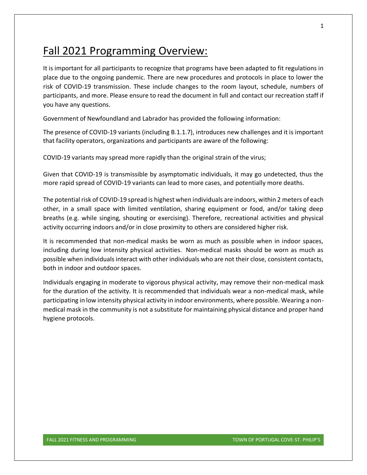# Fall 2021 Programming Overview:

It is important for all participants to recognize that programs have been adapted to fit regulations in place due to the ongoing pandemic. There are new procedures and protocols in place to lower the risk of COVID-19 transmission. These include changes to the room layout, schedule, numbers of participants, and more. Please ensure to read the document in full and contact our recreation staff if you have any questions.

Government of Newfoundland and Labrador has provided the following information:

The presence of COVID-19 variants (including B.1.1.7), introduces new challenges and it is important that facility operators, organizations and participants are aware of the following:

COVID-19 variants may spread more rapidly than the original strain of the virus;

Given that COVID-19 is transmissible by asymptomatic individuals, it may go undetected, thus the more rapid spread of COVID-19 variants can lead to more cases, and potentially more deaths.

The potential risk of COVID-19 spread is highest when individuals are indoors, within 2 meters of each other, in a small space with limited ventilation, sharing equipment or food, and/or taking deep breaths (e.g. while singing, shouting or exercising). Therefore, recreational activities and physical activity occurring indoors and/or in close proximity to others are considered higher risk.

It is recommended that non-medical masks be worn as much as possible when in indoor spaces, including during low intensity physical activities. Non-medical masks should be worn as much as possible when individuals interact with other individuals who are not their close, consistent contacts, both in indoor and outdoor spaces.

Individuals engaging in moderate to vigorous physical activity, may remove their non-medical mask for the duration of the activity. It is recommended that individuals wear a non-medical mask, while participating in low intensity physical activity in indoor environments, where possible. Wearing a nonmedical mask in the community is not a substitute for maintaining physical distance and proper hand hygiene protocols.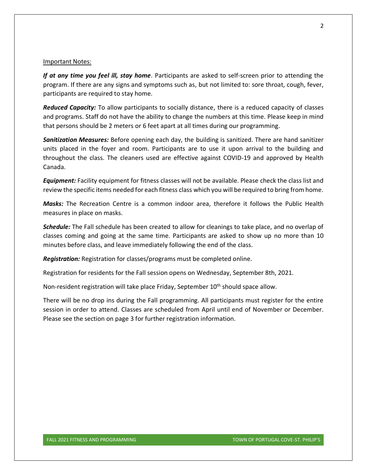#### Important Notes:

*If at any time you feel ill, stay home*. Participants are asked to self-screen prior to attending the program. If there are any signs and symptoms such as, but not limited to: sore throat, cough, fever, participants are required to stay home.

*Reduced Capacity:* To allow participants to socially distance, there is a reduced capacity of classes and programs. Staff do not have the ability to change the numbers at this time. Please keep in mind that persons should be 2 meters or 6 feet apart at all times during our programming.

*Sanitization Measures:* Before opening each day, the building is sanitized. There are hand sanitizer units placed in the foyer and room. Participants are to use it upon arrival to the building and throughout the class. The cleaners used are effective against COVID-19 and approved by Health Canada.

*Equipment:* Facility equipment for fitness classes will not be available. Please check the class list and review the specific items needed for each fitness class which you will be required to bring from home.

*Masks:* The Recreation Centre is a common indoor area, therefore it follows the Public Health measures in place on masks.

*Schedule:* The Fall schedule has been created to allow for cleanings to take place, and no overlap of classes coming and going at the same time. Participants are asked to show up no more than 10 minutes before class, and leave immediately following the end of the class.

*Registration:* Registration for classes/programs must be completed online.

Registration for residents for the Fall session opens on Wednesday, September 8th, 2021.

Non-resident registration will take place Friday, September 10th should space allow.

There will be no drop ins during the Fall programming. All participants must register for the entire session in order to attend. Classes are scheduled from April until end of November or December. Please see the section on page 3 for further registration information.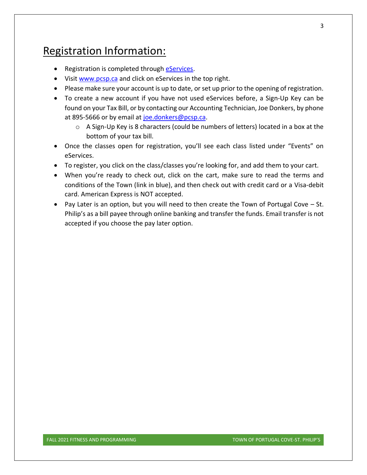# Registration Information:

- Registration is completed through *eServices*.
- Visi[t www.pcsp.ca](http://www.pcsp.ca/) and click on eServices in the top right.
- Please make sure your account is up to date, or set up prior to the opening of registration.
- To create a new account if you have not used eServices before, a Sign-Up Key can be found on your Tax Bill, or by contacting our Accounting Technician, Joe Donkers, by phone at 895-5666 or by email at [joe.donkers@pcsp.ca.](mailto:joe.donkers@pcsp.ca?subject=eServices%20Sign-Up%20Key)
	- o A Sign-Up Key is 8 characters (could be numbers of letters) located in a box at the bottom of your tax bill.
- Once the classes open for registration, you'll see each class listed under "Events" on eServices.
- To register, you click on the class/classes you're looking for, and add them to your cart.
- When you're ready to check out, click on the cart, make sure to read the terms and conditions of the Town (link in blue), and then check out with credit card or a Visa-debit card. American Express is NOT accepted.
- Pay Later is an option, but you will need to then create the Town of Portugal Cove St. Philip's as a bill payee through online banking and transfer the funds. Email transfer is not accepted if you choose the pay later option.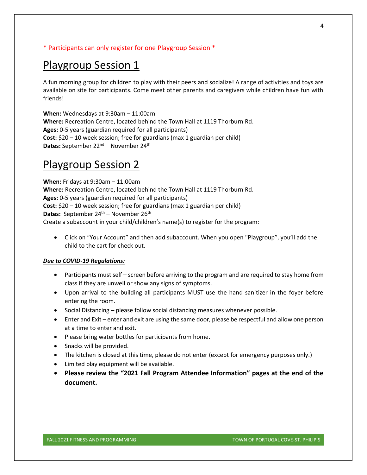#### \* Participants can only register for one Playgroup Session \*

## Playgroup Session 1

A fun morning group for children to play with their peers and socialize! A range of activities and toys are available on site for participants. Come meet other parents and caregivers while children have fun with friends!

**When:** Wednesdays at 9:30am – 11:00am **Where:** Recreation Centre, located behind the Town Hall at 1119 Thorburn Rd. **Ages:** 0-5 years (guardian required for all participants) **Cost:** \$20 – 10 week session; free for guardians (max 1 guardian per child) Dates: September 22<sup>nd</sup> – November 24<sup>th</sup>

## Playgroup Session 2

**When:** Fridays at 9:30am – 11:00am **Where:** Recreation Centre, located behind the Town Hall at 1119 Thorburn Rd. **Ages:** 0-5 years (guardian required for all participants) **Cost:** \$20 – 10 week session; free for guardians (max 1 guardian per child) Dates: September 24<sup>th</sup> – November 26<sup>th</sup> Create a subaccount in your child/children's name(s) to register for the program:

• Click on "Your Account" and then add subaccount. When you open "Playgroup", you'll add the child to the cart for check out.

#### *Due to COVID-19 Regulations:*

- Participants must self screen before arriving to the program and are required to stay home from class if they are unwell or show any signs of symptoms.
- Upon arrival to the building all participants MUST use the hand sanitizer in the foyer before entering the room.
- Social Distancing please follow social distancing measures whenever possible.
- Enter and Exit enter and exit are using the same door, please be respectful and allow one person at a time to enter and exit.
- Please bring water bottles for participants from home.
- Snacks will be provided.
- The kitchen is closed at this time, please do not enter (except for emergency purposes only.)
- Limited play equipment will be available.
- **Please review the "2021 Fall Program Attendee Information" pages at the end of the document.**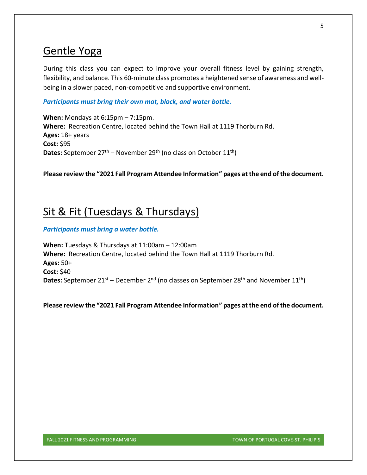## Gentle Yoga

During this class you can expect to improve your overall fitness level by gaining strength, flexibility, and balance. This 60-minute class promotes a heightened sense of awareness and wellbeing in a slower paced, non-competitive and supportive environment.

*Participants must bring their own mat, block, and water bottle.*

**When:** Mondays at 6:15pm – 7:15pm. **Where:** Recreation Centre, located behind the Town Hall at 1119 Thorburn Rd. **Ages:** 18+ years **Cost:** \$95 **Dates:** September 27<sup>th</sup> – November 29<sup>th</sup> (no class on October 11<sup>th</sup>)

**Please review the "2021 Fall Program Attendee Information" pages at the end of the document.**

## Sit & Fit (Tuesdays & Thursdays)

#### *Participants must bring a water bottle.*

**When:** Tuesdays & Thursdays at 11:00am – 12:00am **Where:** Recreation Centre, located behind the Town Hall at 1119 Thorburn Rd. **Ages:** 50+ **Cost:** \$40 **Dates:** September  $21^{st}$  – December  $2^{nd}$  (no classes on September  $28^{th}$  and November  $11^{th}$ )

**Please review the "2021 Fall Program Attendee Information" pages at the end of the document.**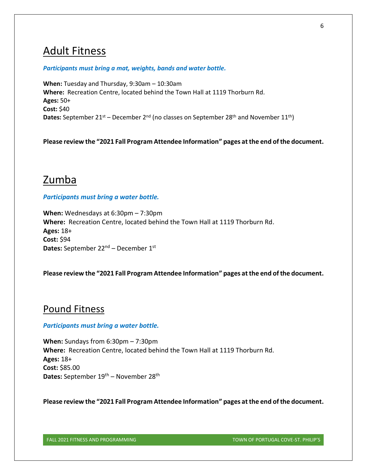## Adult Fitness

#### *Participants must bring a mat, weights, bands and water bottle.*

**When:** Tuesday and Thursday, 9:30am – 10:30am **Where:** Recreation Centre, located behind the Town Hall at 1119 Thorburn Rd. **Ages:** 50+ **Cost:** \$40 **Dates:** September 21<sup>st</sup> – December 2<sup>nd</sup> (no classes on September 28<sup>th</sup> and November 11<sup>th</sup>)

**Please review the "2021 Fall Program Attendee Information" pages at the end of the document.**

## Zumba

#### *Participants must bring a water bottle.*

**When:** Wednesdays at 6:30pm – 7:30pm **Where:** Recreation Centre, located behind the Town Hall at 1119 Thorburn Rd. **Ages:** 18+ **Cost:** \$94 Dates: September 22<sup>nd</sup> – December 1st

#### **Please review the "2021 Fall Program Attendee Information" pages at the end of the document.**

### Pound Fitness

#### *Participants must bring a water bottle.*

**When:** Sundays from 6:30pm – 7:30pm **Where:** Recreation Centre, located behind the Town Hall at 1119 Thorburn Rd. **Ages:** 18+ **Cost:** \$85.00 Dates: September 19<sup>th</sup> – November 28<sup>th</sup>

**Please review the "2021 Fall Program Attendee Information" pages at the end of the document.**